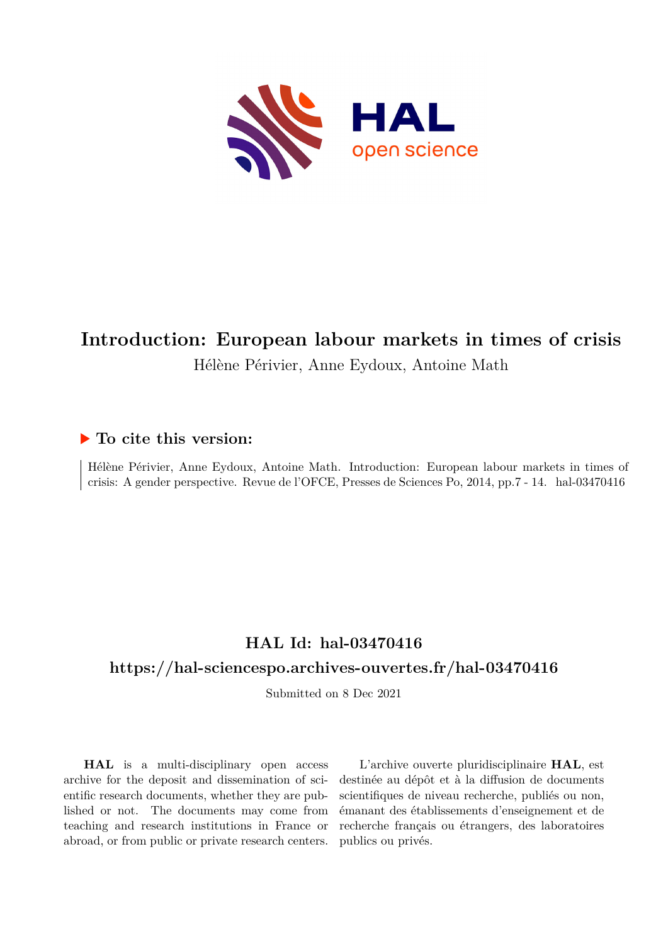

# **Introduction: European labour markets in times of crisis** Hélène Périvier, Anne Eydoux, Antoine Math

#### **To cite this version:**

Hélène Périvier, Anne Eydoux, Antoine Math. Introduction: European labour markets in times of crisis: A gender perspective. Revue de l'OFCE, Presses de Sciences Po, 2014, pp.7 - 14. hal-03470416

## **HAL Id: hal-03470416 <https://hal-sciencespo.archives-ouvertes.fr/hal-03470416>**

Submitted on 8 Dec 2021

**HAL** is a multi-disciplinary open access archive for the deposit and dissemination of scientific research documents, whether they are published or not. The documents may come from teaching and research institutions in France or abroad, or from public or private research centers.

L'archive ouverte pluridisciplinaire **HAL**, est destinée au dépôt et à la diffusion de documents scientifiques de niveau recherche, publiés ou non, émanant des établissements d'enseignement et de recherche français ou étrangers, des laboratoires publics ou privés.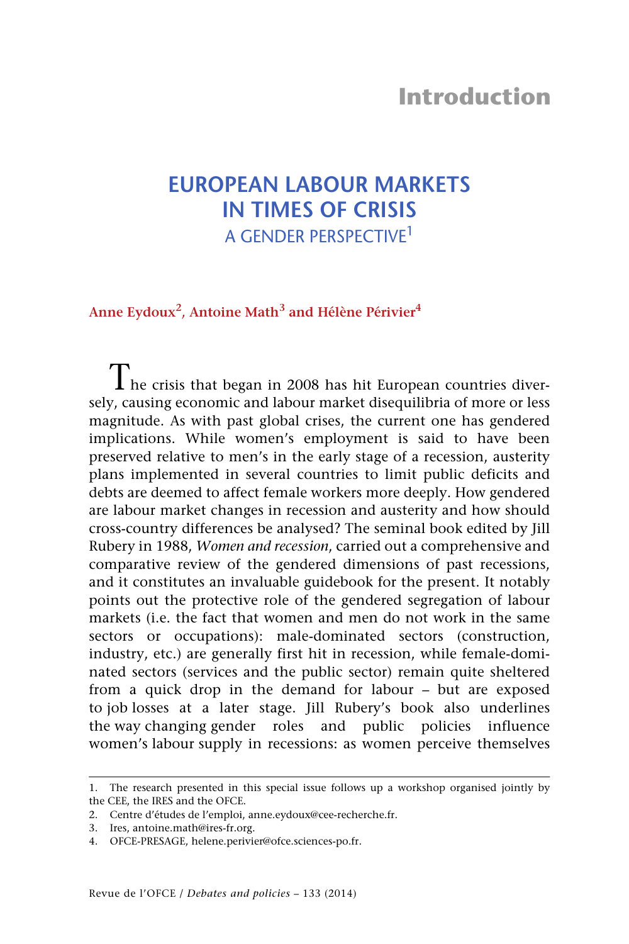### **Introduction**

#### **EUROPEAN LABOUR MARKETS IN TIMES OF CRISIS** A GENDER PERSPECTIVE1

**Anne Eydoux2, Antoine Math3 and Hélène Périvier4**

The crisis that began in 2008 has hit European countries diversely, causing economic and labour market disequilibria of more or less magnitude. As with past global crises, the current one has gendered implications. While women's employment is said to have been preserved relative to men's in the early stage of a recession, austerity plans implemented in several countries to limit public deficits and debts are deemed to affect female workers more deeply. How gendered are labour market changes in recession and austerity and how should cross-country differences be analysed? The seminal book edited by Jill Rubery in 1988, *Women and recession*, carried out a comprehensive and comparative review of the gendered dimensions of past recessions, and it constitutes an invaluable guidebook for the present. It notably points out the protective role of the gendered segregation of labour markets (i.e. the fact that women and men do not work in the same sectors or occupations): male-dominated sectors (construction, industry, etc.) are generally first hit in recession, while female-dominated sectors (services and the public sector) remain quite sheltered from a quick drop in the demand for labour – but are exposed to job losses at a later stage. Jill Rubery's book also underlines the way changing gender roles and public policies influence women's labour supply in recessions: as women perceive themselves

<sup>1.</sup> The research presented in this special issue follows up a workshop organised jointly by the CEE, the IRES and the OFCE.

<sup>2.</sup> [Centre d'études de l'emploi, anne.eydoux@cee-recherche.fr.](mailto:antoine.math@ires-fr.org)

<sup>3.</sup> Ires, antoine.math@ires-fr.org.

<sup>4.</sup> [OFCE-PRESAGE, helene.perivier@ofce.sciences-po.fr.](mailto:helene.perivier@ofce.sciences-po.fr)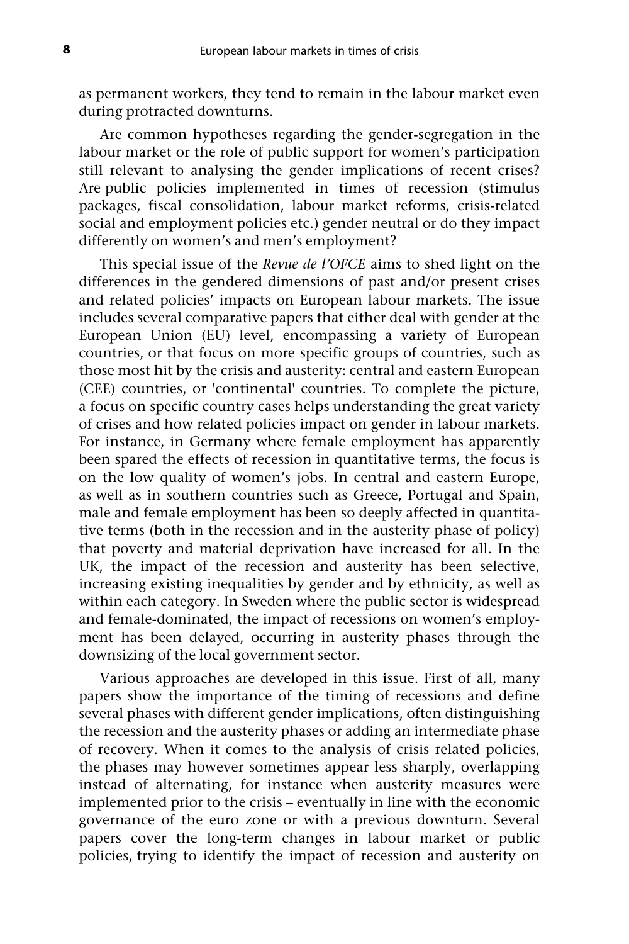as permanent workers, they tend to remain in the labour market even during protracted downturns.

Are common hypotheses regarding the gender-segregation in the labour market or the role of public support for women's participation still relevant to analysing the gender implications of recent crises? Are public policies implemented in times of recession (stimulus packages, fiscal consolidation, labour market reforms, crisis-related social and employment policies etc.) gender neutral or do they impact differently on women's and men's employment?

This special issue of the *Revue de l'OFCE* aims to shed light on the differences in the gendered dimensions of past and/or present crises and related policies' impacts on European labour markets. The issue includes several comparative papers that either deal with gender at the European Union (EU) level, encompassing a variety of European countries, or that focus on more specific groups of countries, such as those most hit by the crisis and austerity: central and eastern European (CEE) countries, or 'continental' countries. To complete the picture, a focus on specific country cases helps understanding the great variety of crises and how related policies impact on gender in labour markets. For instance, in Germany where female employment has apparently been spared the effects of recession in quantitative terms, the focus is on the low quality of women's jobs. In central and eastern Europe, as well as in southern countries such as Greece, Portugal and Spain, male and female employment has been so deeply affected in quantitative terms (both in the recession and in the austerity phase of policy) that poverty and material deprivation have increased for all. In the UK, the impact of the recession and austerity has been selective, increasing existing inequalities by gender and by ethnicity, as well as within each category. In Sweden where the public sector is widespread and female-dominated, the impact of recessions on women's employment has been delayed, occurring in austerity phases through the downsizing of the local government sector.

Various approaches are developed in this issue. First of all, many papers show the importance of the timing of recessions and define several phases with different gender implications, often distinguishing the recession and the austerity phases or adding an intermediate phase of recovery. When it comes to the analysis of crisis related policies, the phases may however sometimes appear less sharply, overlapping instead of alternating, for instance when austerity measures were implemented prior to the crisis – eventually in line with the economic governance of the euro zone or with a previous downturn. Several papers cover the long-term changes in labour market or public policies, trying to identify the impact of recession and austerity on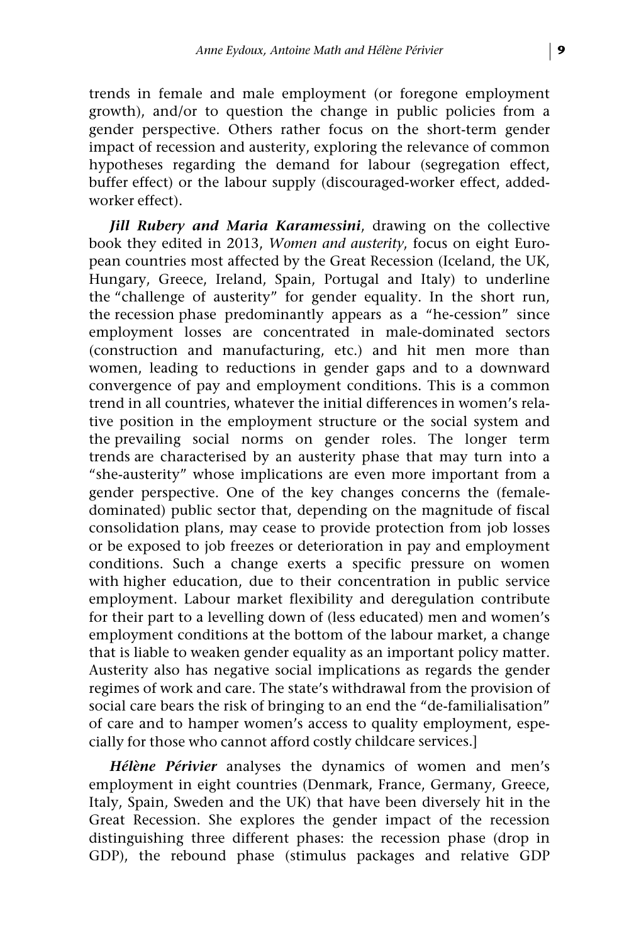trends in female and male employment (or foregone employment growth), and/or to question the change in public policies from a gender perspective. Others rather focus on the short-term gender impact of recession and austerity, exploring the relevance of common hypotheses regarding the demand for labour (segregation effect, buffer effect) or the labour supply (discouraged-worker effect, addedworker effect).

*Jill Rubery and Maria Karamessini*, drawing on the collective book they edited in 2013, *Women and austerity*, focus on eight European countries most affected by the Great Recession (Iceland, the UK, Hungary, Greece, Ireland, Spain, Portugal and Italy) to underline the "challenge of austerity" for gender equality. In the short run, the recession phase predominantly appears as a "he-cession" since employment losses are concentrated in male-dominated sectors (construction and manufacturing, etc.) and hit men more than women, leading to reductions in gender gaps and to a downward convergence of pay and employment conditions. This is a common trend in all countries, whatever the initial differences in women's relative position in the employment structure or the social system and the prevailing social norms on gender roles. The longer term trends are characterised by an austerity phase that may turn into a "she-austerity" whose implications are even more important from a gender perspective. One of the key changes concerns the (femaledominated) public sector that, depending on the magnitude of fiscal consolidation plans, may cease to provide protection from job losses or be exposed to job freezes or deterioration in pay and employment conditions. Such a change exerts a specific pressure on women with higher education, due to their concentration in public service employment. Labour market flexibility and deregulation contribute for their part to a levelling down of (less educated) men and women's employment conditions at the bottom of the labour market, a change that is liable to weaken gender equality as an important policy matter. Austerity also has negative social implications as regards the gender regimes of work and care. The state's withdrawal from the provision of social care bears the risk of bringing to an end the "de-familialisation" of care and to hamper women's access to quality employment, especially for those who cannot afford costly childcare services.]

*Hélène Périvier* analyses the dynamics of women and men's employment in eight countries (Denmark, France, Germany, Greece, Italy, Spain, Sweden and the UK) that have been diversely hit in the Great Recession. She explores the gender impact of the recession distinguishing three different phases: the recession phase (drop in GDP), the rebound phase (stimulus packages and relative GDP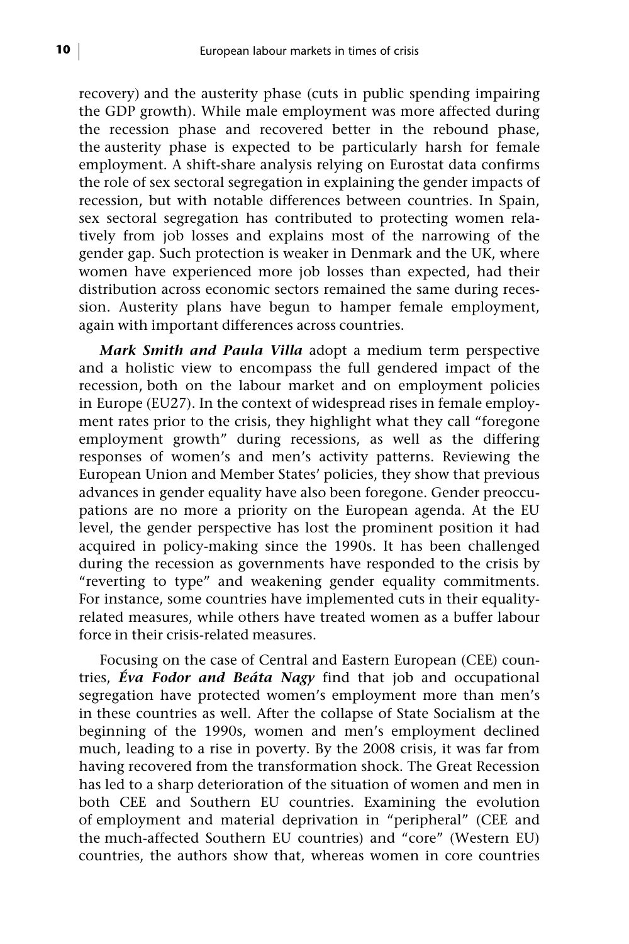recovery) and the austerity phase (cuts in public spending impairing the GDP growth). While male employment was more affected during the recession phase and recovered better in the rebound phase, the austerity phase is expected to be particularly harsh for female employment. A shift-share analysis relying on Eurostat data confirms the role of sex sectoral segregation in explaining the gender impacts of recession, but with notable differences between countries. In Spain, sex sectoral segregation has contributed to protecting women relatively from job losses and explains most of the narrowing of the gender gap. Such protection is weaker in Denmark and the UK, where women have experienced more job losses than expected, had their distribution across economic sectors remained the same during recession. Austerity plans have begun to hamper female employment, again with important differences across countries.

*Mark Smith and Paula Villa* adopt a medium term perspective and a holistic view to encompass the full gendered impact of the recession, both on the labour market and on employment policies in Europe (EU27). In the context of widespread rises in female employment rates prior to the crisis, they highlight what they call "foregone employment growth" during recessions, as well as the differing responses of women's and men's activity patterns. Reviewing the European Union and Member States' policies, they show that previous advances in gender equality have also been foregone. Gender preoccupations are no more a priority on the European agenda. At the EU level, the gender perspective has lost the prominent position it had acquired in policy-making since the 1990s. It has been challenged during the recession as governments have responded to the crisis by "reverting to type" and weakening gender equality commitments. For instance, some countries have implemented cuts in their equalityrelated measures, while others have treated women as a buffer labour force in their crisis-related measures.

Focusing on the case of Central and Eastern European (CEE) countries, *Éva Fodor and Beáta Nagy* find that job and occupational segregation have protected women's employment more than men's in these countries as well. After the collapse of State Socialism at the beginning of the 1990s, women and men's employment declined much, leading to a rise in poverty. By the 2008 crisis, it was far from having recovered from the transformation shock. The Great Recession has led to a sharp deterioration of the situation of women and men in both CEE and Southern EU countries. Examining the evolution of employment and material deprivation in "peripheral" (CEE and the much-affected Southern EU countries) and "core" (Western EU) countries, the authors show that, whereas women in core countries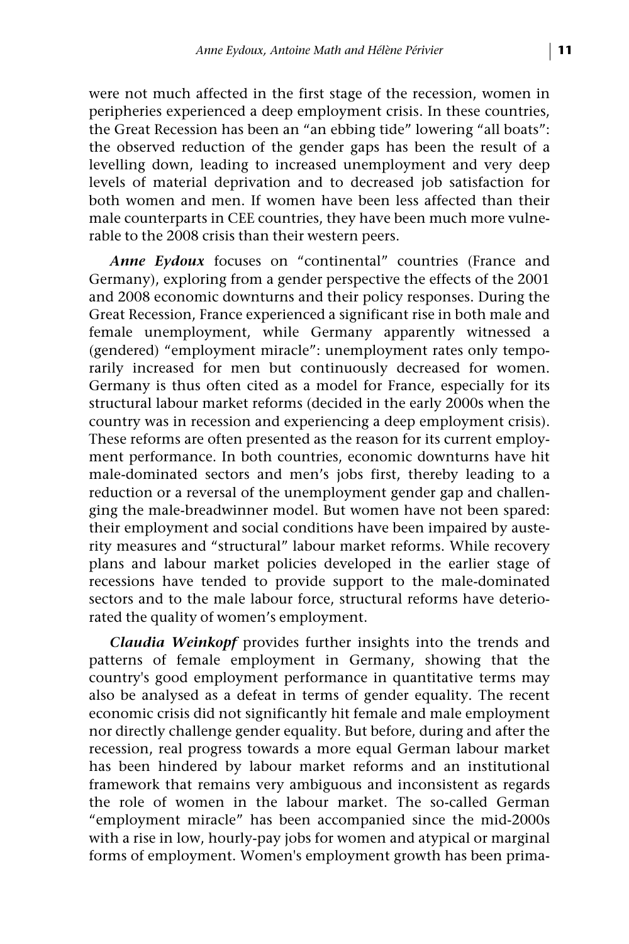were not much affected in the first stage of the recession, women in peripheries experienced a deep employment crisis. In these countries, the Great Recession has been an "an ebbing tide" lowering "all boats": the observed reduction of the gender gaps has been the result of a levelling down, leading to increased unemployment and very deep levels of material deprivation and to decreased job satisfaction for both women and men. If women have been less affected than their male counterparts in CEE countries, they have been much more vulnerable to the 2008 crisis than their western peers.

*Anne Eydoux* focuses on "continental" countries (France and Germany), exploring from a gender perspective the effects of the 2001 and 2008 economic downturns and their policy responses. During the Great Recession, France experienced a significant rise in both male and female unemployment, while Germany apparently witnessed a (gendered) "employment miracle": unemployment rates only temporarily increased for men but continuously decreased for women. Germany is thus often cited as a model for France, especially for its structural labour market reforms (decided in the early 2000s when the country was in recession and experiencing a deep employment crisis). These reforms are often presented as the reason for its current employment performance. In both countries, economic downturns have hit male-dominated sectors and men's jobs first, thereby leading to a reduction or a reversal of the unemployment gender gap and challenging the male-breadwinner model. But women have not been spared: their employment and social conditions have been impaired by austerity measures and "structural" labour market reforms. While recovery plans and labour market policies developed in the earlier stage of recessions have tended to provide support to the male-dominated sectors and to the male labour force, structural reforms have deteriorated the quality of women's employment.

*Claudia Weinkopf* provides further insights into the trends and patterns of female employment in Germany, showing that the country's good employment performance in quantitative terms may also be analysed as a defeat in terms of gender equality. The recent economic crisis did not significantly hit female and male employment nor directly challenge gender equality. But before, during and after the recession, real progress towards a more equal German labour market has been hindered by labour market reforms and an institutional framework that remains very ambiguous and inconsistent as regards the role of women in the labour market. The so-called German "employment miracle" has been accompanied since the mid-2000s with a rise in low, hourly-pay jobs for women and atypical or marginal forms of employment. Women's employment growth has been prima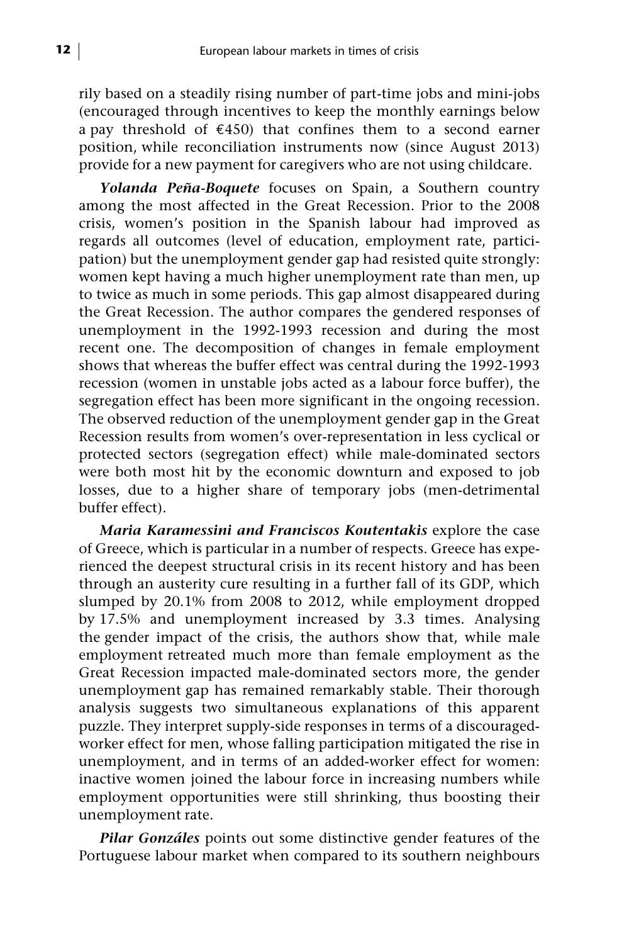rily based on a steadily rising number of part-time jobs and mini-jobs (encouraged through incentives to keep the monthly earnings below a pay threshold of  $\epsilon$ 450) that confines them to a second earner position, while reconciliation instruments now (since August 2013) provide for a new payment for caregivers who are not using childcare.

*Yolanda Peña-Boquete* focuses on Spain, a Southern country among the most affected in the Great Recession. Prior to the 2008 crisis, women's position in the Spanish labour had improved as regards all outcomes (level of education, employment rate, participation) but the unemployment gender gap had resisted quite strongly: women kept having a much higher unemployment rate than men, up to twice as much in some periods. This gap almost disappeared during the Great Recession. The author compares the gendered responses of unemployment in the 1992-1993 recession and during the most recent one. The decomposition of changes in female employment shows that whereas the buffer effect was central during the 1992-1993 recession (women in unstable jobs acted as a labour force buffer), the segregation effect has been more significant in the ongoing recession. The observed reduction of the unemployment gender gap in the Great Recession results from women's over-representation in less cyclical or protected sectors (segregation effect) while male-dominated sectors were both most hit by the economic downturn and exposed to job losses, due to a higher share of temporary jobs (men-detrimental buffer effect).

*Maria Karamessini and Franciscos Koutentakis* explore the case of Greece, which is particular in a number of respects. Greece has experienced the deepest structural crisis in its recent history and has been through an austerity cure resulting in a further fall of its GDP, which slumped by 20.1% from 2008 to 2012, while employment dropped by 17.5% and unemployment increased by 3.3 times. Analysing the gender impact of the crisis, the authors show that, while male employment retreated much more than female employment as the Great Recession impacted male-dominated sectors more, the gender unemployment gap has remained remarkably stable. Their thorough analysis suggests two simultaneous explanations of this apparent puzzle. They interpret supply-side responses in terms of a discouragedworker effect for men, whose falling participation mitigated the rise in unemployment, and in terms of an added-worker effect for women: inactive women joined the labour force in increasing numbers while employment opportunities were still shrinking, thus boosting their unemployment rate.

*Pilar Gonzáles* points out some distinctive gender features of the Portuguese labour market when compared to its southern neighbours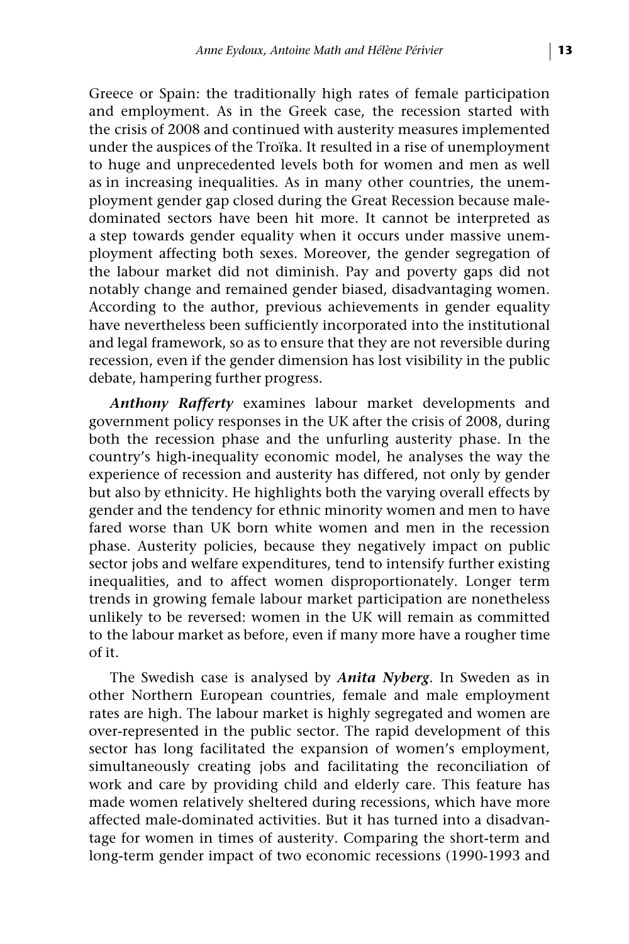Greece or Spain: the traditionally high rates of female participation and employment. As in the Greek case, the recession started with the crisis of 2008 and continued with austerity measures implemented under the auspices of the Troïka. It resulted in a rise of unemployment to huge and unprecedented levels both for women and men as well as in increasing inequalities. As in many other countries, the unemployment gender gap closed during the Great Recession because maledominated sectors have been hit more. It cannot be interpreted as a step towards gender equality when it occurs under massive unemployment affecting both sexes. Moreover, the gender segregation of the labour market did not diminish. Pay and poverty gaps did not notably change and remained gender biased, disadvantaging women. According to the author, previous achievements in gender equality have nevertheless been sufficiently incorporated into the institutional and legal framework, so as to ensure that they are not reversible during recession, even if the gender dimension has lost visibility in the public debate, hampering further progress.

*Anthony Rafferty* examines labour market developments and government policy responses in the UK after the crisis of 2008, during both the recession phase and the unfurling austerity phase. In the country's high-inequality economic model, he analyses the way the experience of recession and austerity has differed, not only by gender but also by ethnicity. He highlights both the varying overall effects by gender and the tendency for ethnic minority women and men to have fared worse than UK born white women and men in the recession phase. Austerity policies, because they negatively impact on public sector jobs and welfare expenditures, tend to intensify further existing inequalities, and to affect women disproportionately. Longer term trends in growing female labour market participation are nonetheless unlikely to be reversed: women in the UK will remain as committed to the labour market as before, even if many more have a rougher time of it.

The Swedish case is analysed by *Anita Nyberg*. In Sweden as in other Northern European countries, female and male employment rates are high. The labour market is highly segregated and women are over-represented in the public sector. The rapid development of this sector has long facilitated the expansion of women's employment, simultaneously creating jobs and facilitating the reconciliation of work and care by providing child and elderly care. This feature has made women relatively sheltered during recessions, which have more affected male-dominated activities. But it has turned into a disadvantage for women in times of austerity. Comparing the short-term and long-term gender impact of two economic recessions (1990-1993 and